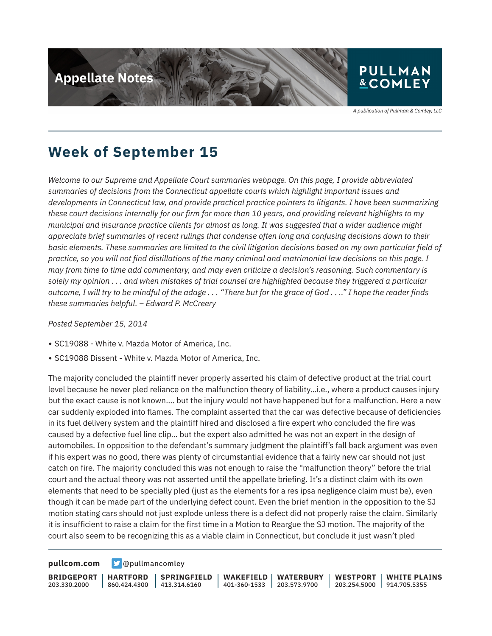

A publication of Pullman & Comley, LLC

### **Week of September 15**

*Welcome to our Supreme and Appellate Court summaries webpage. On this page, I provide abbreviated summaries of decisions from the Connecticut appellate courts which highlight important issues and developments in Connecticut law, and provide practical practice pointers to litigants. I have been summarizing these court decisions internally for our firm for more than 10 years, and providing relevant highlights to my municipal and insurance practice clients for almost as long. It was suggested that a wider audience might appreciate brief summaries of recent rulings that condense often long and confusing decisions down to their basic elements. These summaries are limited to the civil litigation decisions based on my own particular field of practice, so you will not find distillations of the many criminal and matrimonial law decisions on this page. I may from time to time add commentary, and may even criticize a decision's reasoning. Such commentary is solely my opinion . . . and when mistakes of trial counsel are highlighted because they triggered a particular outcome, I will try to be mindful of the adage . . . "There but for the grace of God . . .." I hope the reader finds these summaries helpful. – Edward P. McCreery*

*Posted September 15, 2014*

- SC19088 White v. Mazda Motor of America, Inc.
- SC19088 Dissent White v. Mazda Motor of America, Inc.

The majority concluded the plaintiff never properly asserted his claim of defective product at the trial court level because he never pled reliance on the malfunction theory of liability…i.e., where a product causes injury but the exact cause is not known…. but the injury would not have happened but for a malfunction. Here a new car suddenly exploded into flames. The complaint asserted that the car was defective because of deficiencies in its fuel delivery system and the plaintiff hired and disclosed a fire expert who concluded the fire was caused by a defective fuel line clip… but the expert also admitted he was not an expert in the design of automobiles. In opposition to the defendant's summary judgment the plaintiff's fall back argument was even if his expert was no good, there was plenty of circumstantial evidence that a fairly new car should not just catch on fire. The majority concluded this was not enough to raise the "malfunction theory" before the trial court and the actual theory was not asserted until the appellate briefing. It's a distinct claim with its own elements that need to be specially pled (just as the elements for a res ipsa negligence claim must be), even though it can be made part of the underlying defect count. Even the brief mention in the opposition to the SJ motion stating cars should not just explode unless there is a defect did not properly raise the claim. Similarly it is insufficient to raise a claim for the first time in a Motion to Reargue the SJ motion. The majority of the court also seem to be recognizing this as a viable claim in Connecticut, but conclude it just wasn't pled

**[pullcom.com](https://www.pullcom.com) g** [@pullmancomley](https://twitter.com/PullmanComley)

**BRIDGEPORT** 203.330.2000

**HARTFORD** 860.424.4300

**SPRINGFIELD**  $1413.314.6160$ 

**WAKEFIELD** 401-360-1533 **WATERBURY** 203.573.9700 **WESTPORT**

203.254.5000 914.705.5355 **WHITE PLAINS**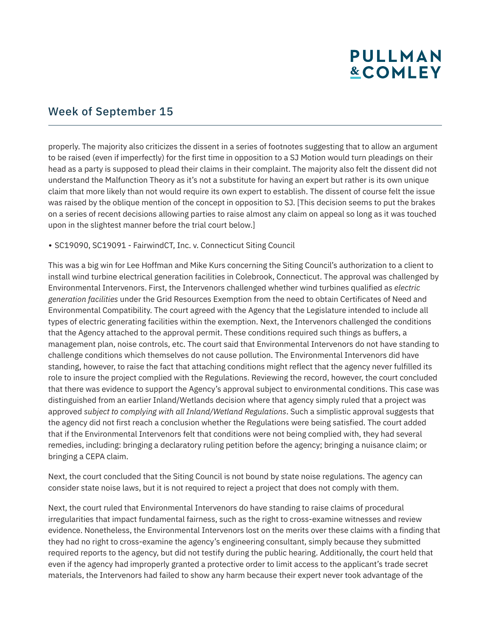#### Week of September 15

properly. The majority also criticizes the dissent in a series of footnotes suggesting that to allow an argument to be raised (even if imperfectly) for the first time in opposition to a SJ Motion would turn pleadings on their head as a party is supposed to plead their claims in their complaint. The majority also felt the dissent did not understand the Malfunction Theory as it's not a substitute for having an expert but rather is its own unique claim that more likely than not would require its own expert to establish. The dissent of course felt the issue was raised by the oblique mention of the concept in opposition to SJ. [This decision seems to put the brakes on a series of recent decisions allowing parties to raise almost any claim on appeal so long as it was touched upon in the slightest manner before the trial court below.]

#### • SC19090, SC19091 - FairwindCT, Inc. v. Connecticut Siting Council

This was a big win for Lee Hoffman and Mike Kurs concerning the Siting Council's authorization to a client to install wind turbine electrical generation facilities in Colebrook, Connecticut. The approval was challenged by Environmental Intervenors. First, the Intervenors challenged whether wind turbines qualified as *electric generation facilities* under the Grid Resources Exemption from the need to obtain Certificates of Need and Environmental Compatibility. The court agreed with the Agency that the Legislature intended to include all types of electric generating facilities within the exemption. Next, the Intervenors challenged the conditions that the Agency attached to the approval permit. These conditions required such things as buffers, a management plan, noise controls, etc. The court said that Environmental Intervenors do not have standing to challenge conditions which themselves do not cause pollution. The Environmental Intervenors did have standing, however, to raise the fact that attaching conditions might reflect that the agency never fulfilled its role to insure the project complied with the Regulations. Reviewing the record, however, the court concluded that there was evidence to support the Agency's approval subject to environmental conditions. This case was distinguished from an earlier Inland/Wetlands decision where that agency simply ruled that a project was approved *subject to complying with all Inland/Wetland Regulations*. Such a simplistic approval suggests that the agency did not first reach a conclusion whether the Regulations were being satisfied. The court added that if the Environmental Intervenors felt that conditions were not being complied with, they had several remedies, including: bringing a declaratory ruling petition before the agency; bringing a nuisance claim; or bringing a CEPA claim.

Next, the court concluded that the Siting Council is not bound by state noise regulations. The agency can consider state noise laws, but it is not required to reject a project that does not comply with them.

Next, the court ruled that Environmental Intervenors do have standing to raise claims of procedural irregularities that impact fundamental fairness, such as the right to cross-examine witnesses and review evidence. Nonetheless, the Environmental Intervenors lost on the merits over these claims with a finding that they had no right to cross-examine the agency's engineering consultant, simply because they submitted required reports to the agency, but did not testify during the public hearing. Additionally, the court held that even if the agency had improperly granted a protective order to limit access to the applicant's trade secret materials, the Intervenors had failed to show any harm because their expert never took advantage of the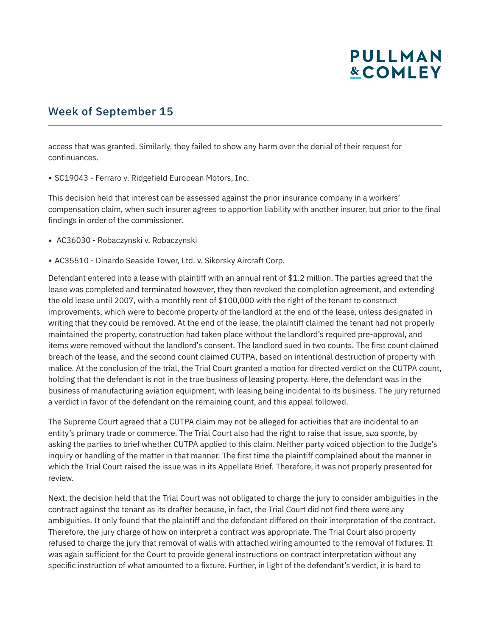#### Week of September 15

access that was granted. Similarly, they failed to show any harm over the denial of their request for continuances.

• SC19043 - Ferraro v. Ridgefield European Motors, Inc.

This decision held that interest can be assessed against the prior insurance company in a workers' compensation claim, when such insurer agrees to apportion liability with another insurer, but prior to the final findings in order of the commissioner.

- AC36030 Robaczynski v. Robaczynski
- AC35510 Dinardo Seaside Tower, Ltd. v. Sikorsky Aircraft Corp.

Defendant entered into a lease with plaintiff with an annual rent of \$1.2 million. The parties agreed that the lease was completed and terminated however, they then revoked the completion agreement, and extending the old lease until 2007, with a monthly rent of \$100,000 with the right of the tenant to construct improvements, which were to become property of the landlord at the end of the lease, unless designated in writing that they could be removed. At the end of the lease, the plaintiff claimed the tenant had not properly maintained the property, construction had taken place without the landlord's required pre-approval, and items were removed without the landlord's consent. The landlord sued in two counts. The first count claimed breach of the lease, and the second count claimed CUTPA, based on intentional destruction of property with malice. At the conclusion of the trial, the Trial Court granted a motion for directed verdict on the CUTPA count, holding that the defendant is not in the true business of leasing property. Here, the defendant was in the business of manufacturing aviation equipment, with leasing being incidental to its business. The jury returned a verdict in favor of the defendant on the remaining count, and this appeal followed.

The Supreme Court agreed that a CUTPA claim may not be alleged for activities that are incidental to an entity's primary trade or commerce. The Trial Court also had the right to raise that issue, *sua sponte*, by asking the parties to brief whether CUTPA applied to this claim. Neither party voiced objection to the Judge's inquiry or handling of the matter in that manner. The first time the plaintiff complained about the manner in which the Trial Court raised the issue was in its Appellate Brief. Therefore, it was not properly presented for review.

Next, the decision held that the Trial Court was not obligated to charge the jury to consider ambiguities in the contract against the tenant as its drafter because, in fact, the Trial Court did not find there were any ambiguities. It only found that the plaintiff and the defendant differed on their interpretation of the contract. Therefore, the jury charge of how on interpret a contract was appropriate. The Trial Court also property refused to charge the jury that removal of walls with attached wiring amounted to the removal of fixtures. It was again sufficient for the Court to provide general instructions on contract interpretation without any specific instruction of what amounted to a fixture. Further, in light of the defendant's verdict, it is hard to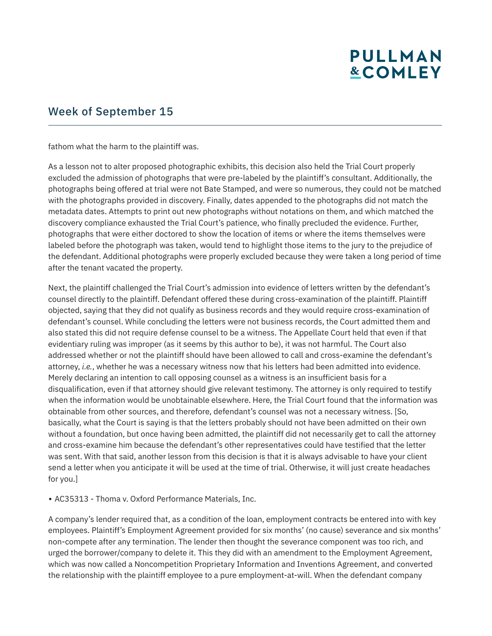#### Week of September 15

fathom what the harm to the plaintiff was.

As a lesson not to alter proposed photographic exhibits, this decision also held the Trial Court properly excluded the admission of photographs that were pre-labeled by the plaintiff's consultant. Additionally, the photographs being offered at trial were not Bate Stamped, and were so numerous, they could not be matched with the photographs provided in discovery. Finally, dates appended to the photographs did not match the metadata dates. Attempts to print out new photographs without notations on them, and which matched the discovery compliance exhausted the Trial Court's patience, who finally precluded the evidence. Further, photographs that were either doctored to show the location of items or where the items themselves were labeled before the photograph was taken, would tend to highlight those items to the jury to the prejudice of the defendant. Additional photographs were properly excluded because they were taken a long period of time after the tenant vacated the property.

Next, the plaintiff challenged the Trial Court's admission into evidence of letters written by the defendant's counsel directly to the plaintiff. Defendant offered these during cross-examination of the plaintiff. Plaintiff objected, saying that they did not qualify as business records and they would require cross-examination of defendant's counsel. While concluding the letters were not business records, the Court admitted them and also stated this did not require defense counsel to be a witness. The Appellate Court held that even if that evidentiary ruling was improper (as it seems by this author to be), it was not harmful. The Court also addressed whether or not the plaintiff should have been allowed to call and cross-examine the defendant's attorney, *i.e.*, whether he was a necessary witness now that his letters had been admitted into evidence. Merely declaring an intention to call opposing counsel as a witness is an insufficient basis for a disqualification, even if that attorney should give relevant testimony. The attorney is only required to testify when the information would be unobtainable elsewhere. Here, the Trial Court found that the information was obtainable from other sources, and therefore, defendant's counsel was not a necessary witness. [So, basically, what the Court is saying is that the letters probably should not have been admitted on their own without a foundation, but once having been admitted, the plaintiff did not necessarily get to call the attorney and cross-examine him because the defendant's other representatives could have testified that the letter was sent. With that said, another lesson from this decision is that it is always advisable to have your client send a letter when you anticipate it will be used at the time of trial. Otherwise, it will just create headaches for you.]

• AC35313 - Thoma v. Oxford Performance Materials, Inc.

A company's lender required that, as a condition of the loan, employment contracts be entered into with key employees. Plaintiff's Employment Agreement provided for six months' (no cause) severance and six months' non-compete after any termination. The lender then thought the severance component was too rich, and urged the borrower/company to delete it. This they did with an amendment to the Employment Agreement, which was now called a Noncompetition Proprietary Information and Inventions Agreement, and converted the relationship with the plaintiff employee to a pure employment-at-will. When the defendant company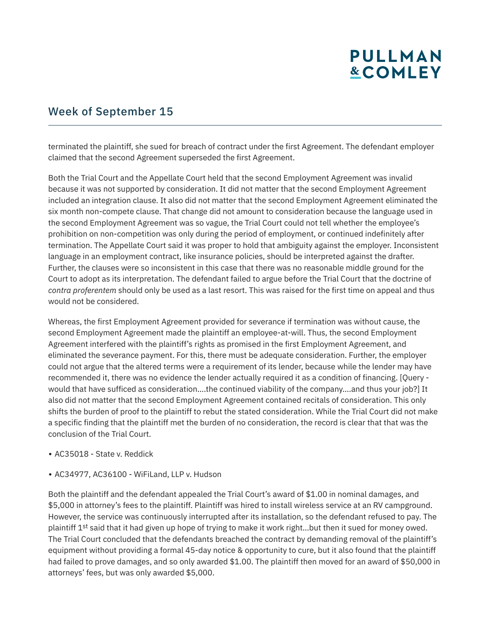#### Week of September 15

terminated the plaintiff, she sued for breach of contract under the first Agreement. The defendant employer claimed that the second Agreement superseded the first Agreement.

Both the Trial Court and the Appellate Court held that the second Employment Agreement was invalid because it was not supported by consideration. It did not matter that the second Employment Agreement included an integration clause. It also did not matter that the second Employment Agreement eliminated the six month non-compete clause. That change did not amount to consideration because the language used in the second Employment Agreement was so vague, the Trial Court could not tell whether the employee's prohibition on non-competition was only during the period of employment, or continued indefinitely after termination. The Appellate Court said it was proper to hold that ambiguity against the employer. Inconsistent language in an employment contract, like insurance policies, should be interpreted against the drafter. Further, the clauses were so inconsistent in this case that there was no reasonable middle ground for the Court to adopt as its interpretation. The defendant failed to argue before the Trial Court that the doctrine of *contra proferentem* should only be used as a last resort. This was raised for the first time on appeal and thus would not be considered.

Whereas, the first Employment Agreement provided for severance if termination was without cause, the second Employment Agreement made the plaintiff an employee-at-will. Thus, the second Employment Agreement interfered with the plaintiff's rights as promised in the first Employment Agreement, and eliminated the severance payment. For this, there must be adequate consideration. Further, the employer could not argue that the altered terms were a requirement of its lender, because while the lender may have recommended it, there was no evidence the lender actually required it as a condition of financing. [Query would that have sufficed as consideration….the continued viability of the company….and thus your job?] It also did not matter that the second Employment Agreement contained recitals of consideration. This only shifts the burden of proof to the plaintiff to rebut the stated consideration. While the Trial Court did not make a specific finding that the plaintiff met the burden of no consideration, the record is clear that that was the conclusion of the Trial Court.

- AC35018 State v. Reddick
- AC34977, AC36100 WiFiLand, LLP v. Hudson

Both the plaintiff and the defendant appealed the Trial Court's award of \$1.00 in nominal damages, and \$5,000 in attorney's fees to the plaintiff. Plaintiff was hired to install wireless service at an RV campground. However, the service was continuously interrupted after its installation, so the defendant refused to pay. The plaintiff 1<sup>st</sup> said that it had given up hope of trying to make it work right...but then it sued for money owed. The Trial Court concluded that the defendants breached the contract by demanding removal of the plaintiff's equipment without providing a formal 45-day notice & opportunity to cure, but it also found that the plaintiff had failed to prove damages, and so only awarded \$1.00. The plaintiff then moved for an award of \$50,000 in attorneys' fees, but was only awarded \$5,000.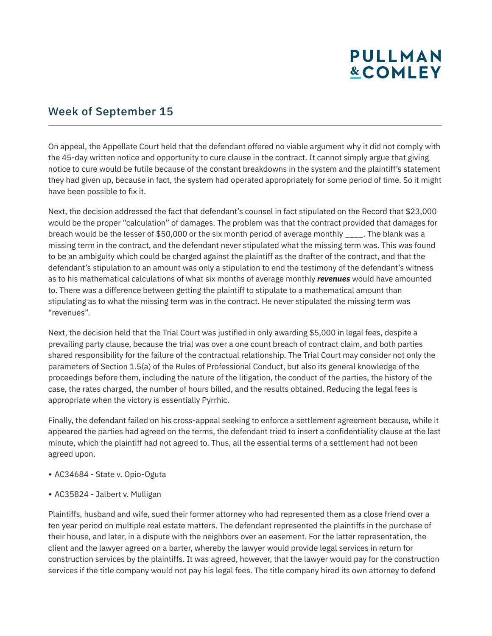#### Week of September 15

On appeal, the Appellate Court held that the defendant offered no viable argument why it did not comply with the 45-day written notice and opportunity to cure clause in the contract. It cannot simply argue that giving notice to cure would be futile because of the constant breakdowns in the system and the plaintiff's statement they had given up, because in fact, the system had operated appropriately for some period of time. So it might have been possible to fix it.

Next, the decision addressed the fact that defendant's counsel in fact stipulated on the Record that \$23,000 would be the proper "calculation" of damages. The problem was that the contract provided that damages for breach would be the lesser of \$50,000 or the six month period of average monthly \_\_\_\_. The blank was a missing term in the contract, and the defendant never stipulated what the missing term was. This was found to be an ambiguity which could be charged against the plaintiff as the drafter of the contract, and that the defendant's stipulation to an amount was only a stipulation to end the testimony of the defendant's witness as to his mathematical calculations of what six months of average monthly *revenues* would have amounted to. There was a difference between getting the plaintiff to stipulate to a mathematical amount than stipulating as to what the missing term was in the contract. He never stipulated the missing term was "revenues".

Next, the decision held that the Trial Court was justified in only awarding \$5,000 in legal fees, despite a prevailing party clause, because the trial was over a one count breach of contract claim, and both parties shared responsibility for the failure of the contractual relationship. The Trial Court may consider not only the parameters of Section 1.5(a) of the Rules of Professional Conduct, but also its general knowledge of the proceedings before them, including the nature of the litigation, the conduct of the parties, the history of the case, the rates charged, the number of hours billed, and the results obtained. Reducing the legal fees is appropriate when the victory is essentially Pyrrhic.

Finally, the defendant failed on his cross-appeal seeking to enforce a settlement agreement because, while it appeared the parties had agreed on the terms, the defendant tried to insert a confidentiality clause at the last minute, which the plaintiff had not agreed to. Thus, all the essential terms of a settlement had not been agreed upon.

- AC34684 State v. Opio-Oguta
- AC35824 Jalbert v. Mulligan

Plaintiffs, husband and wife, sued their former attorney who had represented them as a close friend over a ten year period on multiple real estate matters. The defendant represented the plaintiffs in the purchase of their house, and later, in a dispute with the neighbors over an easement. For the latter representation, the client and the lawyer agreed on a barter, whereby the lawyer would provide legal services in return for construction services by the plaintiffs. It was agreed, however, that the lawyer would pay for the construction services if the title company would not pay his legal fees. The title company hired its own attorney to defend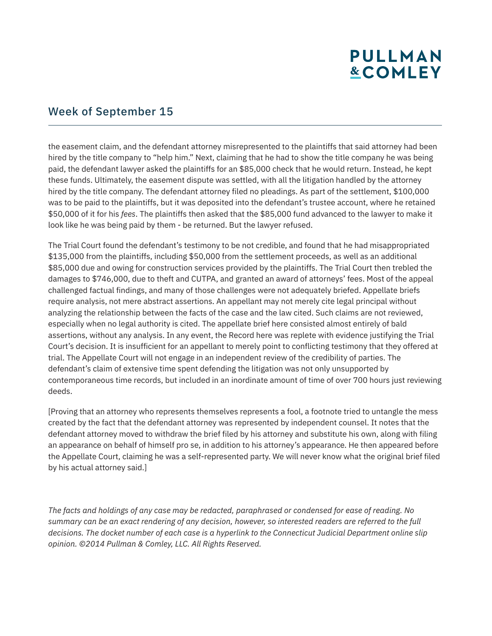#### Week of September 15

the easement claim, and the defendant attorney misrepresented to the plaintiffs that said attorney had been hired by the title company to "help him." Next, claiming that he had to show the title company he was being paid, the defendant lawyer asked the plaintiffs for an \$85,000 check that he would return. Instead, he kept these funds. Ultimately, the easement dispute was settled, with all the litigation handled by the attorney hired by the title company. The defendant attorney filed no pleadings. As part of the settlement, \$100,000 was to be paid to the plaintiffs, but it was deposited into the defendant's trustee account, where he retained \$50,000 of it for his *fees*. The plaintiffs then asked that the \$85,000 fund advanced to the lawyer to make it look like he was being paid by them - be returned. But the lawyer refused.

The Trial Court found the defendant's testimony to be not credible, and found that he had misappropriated \$135,000 from the plaintiffs, including \$50,000 from the settlement proceeds, as well as an additional \$85,000 due and owing for construction services provided by the plaintiffs. The Trial Court then trebled the damages to \$746,000, due to theft and CUTPA, and granted an award of attorneys' fees. Most of the appeal challenged factual findings, and many of those challenges were not adequately briefed. Appellate briefs require analysis, not mere abstract assertions. An appellant may not merely cite legal principal without analyzing the relationship between the facts of the case and the law cited. Such claims are not reviewed, especially when no legal authority is cited. The appellate brief here consisted almost entirely of bald assertions, without any analysis. In any event, the Record here was replete with evidence justifying the Trial Court's decision. It is insufficient for an appellant to merely point to conflicting testimony that they offered at trial. The Appellate Court will not engage in an independent review of the credibility of parties. The defendant's claim of extensive time spent defending the litigation was not only unsupported by contemporaneous time records, but included in an inordinate amount of time of over 700 hours just reviewing deeds.

[Proving that an attorney who represents themselves represents a fool, a footnote tried to untangle the mess created by the fact that the defendant attorney was represented by independent counsel. It notes that the defendant attorney moved to withdraw the brief filed by his attorney and substitute his own, along with filing an appearance on behalf of himself pro se, in addition to his attorney's appearance. He then appeared before the Appellate Court, claiming he was a self-represented party. We will never know what the original brief filed by his actual attorney said.]

*The facts and holdings of any case may be redacted, paraphrased or condensed for ease of reading. No summary can be an exact rendering of any decision, however, so interested readers are referred to the full decisions. The docket number of each case is a hyperlink to the Connecticut Judicial Department online slip opinion. ©2014 Pullman & Comley, LLC. All Rights Reserved.*